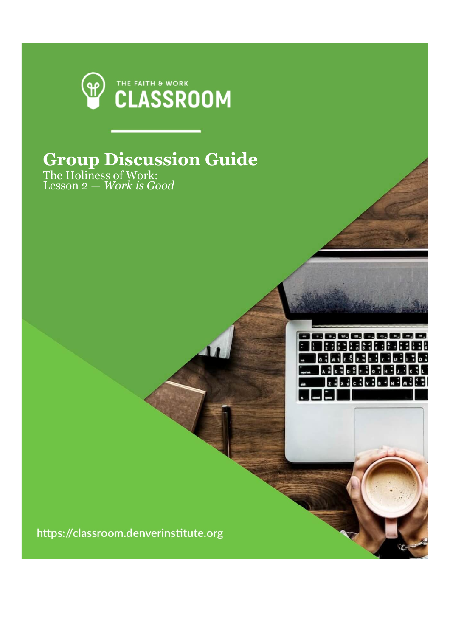

## **Group Discussion Guide**

The Holiness of Work: Lesson 2 — *Work is Good*



https://classroom.denverinstitute.org